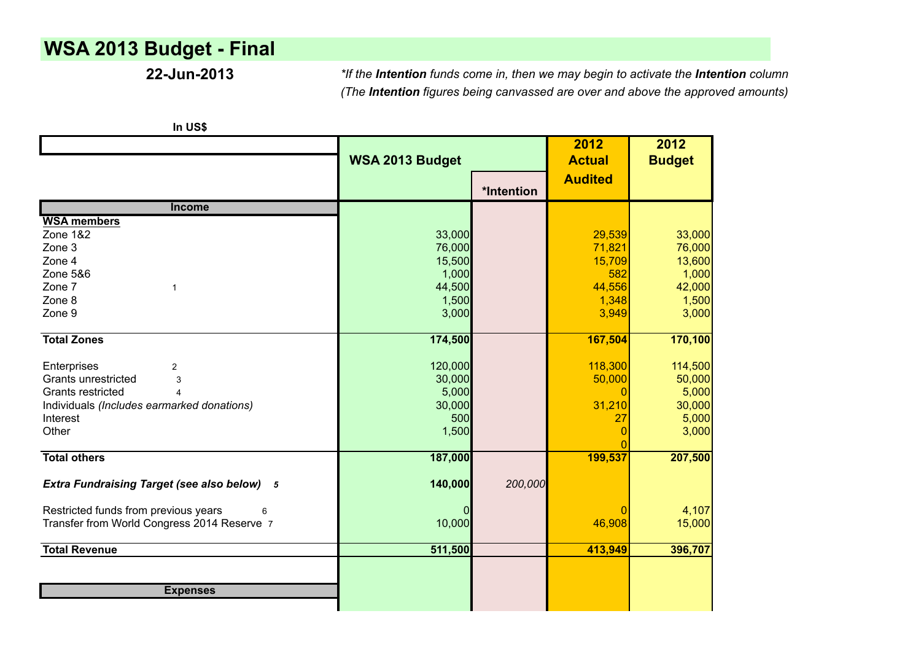# **WSA 2013 Budget - Final**

**22-Jun-2013** *\*If the Intention funds come in, then we may begin to activate the Intention column (The Intention figures being canvassed are over and above the approved amounts)*

|                                                    | WSA 2013 Budget |            |                | 2012<br><b>Budget</b> |
|----------------------------------------------------|-----------------|------------|----------------|-----------------------|
|                                                    |                 | *Intention | <b>Audited</b> |                       |
| <b>Income</b>                                      |                 |            |                |                       |
| <b>WSA members</b>                                 |                 |            |                |                       |
| Zone 1&2                                           | 33,000          |            | 29,539         | 33,000                |
| Zone 3                                             | 76,000          |            | 71,821         | 76,000                |
| Zone 4                                             | 15,500          |            | 15,709         | 13,600                |
| Zone 5&6                                           | 1,000           |            | 582            | 1,000                 |
| Zone 7<br>$\mathbf 1$                              | 44,500          |            | 44,556         | 42,000                |
| Zone 8                                             | 1,500           |            | 1,348          | 1,500                 |
| Zone 9                                             | 3,000           |            | 3,949          | 3,000                 |
| <b>Total Zones</b>                                 | 174,500         |            | 167,504        | 170,100               |
| Enterprises<br>$\overline{2}$                      | 120,000         |            | 118,300        | 114,500               |
| Grants unrestricted<br>3                           | 30,000          |            | 50,000         | 50,000                |
| Grants restricted                                  | 5,000           |            | 0              | 5,000                 |
| Individuals (Includes earmarked donations)         | 30,000          |            | 31,210         | 30,000                |
| Interest                                           | 500             |            | 27             | 5,000                 |
| Other                                              | 1,500           |            | O              | 3,000                 |
|                                                    |                 |            |                |                       |
| <b>Total others</b>                                | 187,000         |            | 199,537        | 207,500               |
| <b>Extra Fundraising Target (see also below)</b> 5 | 140,000         | 200,000    |                |                       |
| Restricted funds from previous years<br>6          |                 |            | O              | 4,107                 |
| Transfer from World Congress 2014 Reserve 7        | 10,000          |            | 46,908         | 15,000                |
| <b>Total Revenue</b>                               | 511,500         |            | 413,949        | 396,707               |
|                                                    |                 |            |                |                       |
| <b>Expenses</b>                                    |                 |            |                |                       |
|                                                    |                 |            |                |                       |

**In US\$**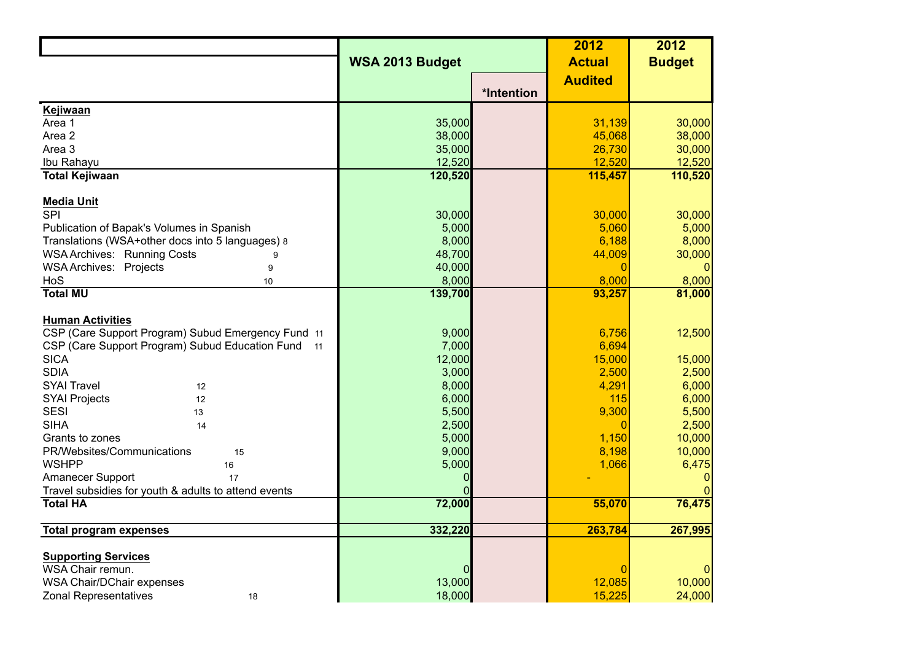|                                                                                               |                 |            | 2012            | 2012           |
|-----------------------------------------------------------------------------------------------|-----------------|------------|-----------------|----------------|
|                                                                                               | WSA 2013 Budget |            | <b>Actual</b>   | <b>Budget</b>  |
|                                                                                               |                 |            | <b>Audited</b>  |                |
|                                                                                               |                 | *Intention |                 |                |
| Kejiwaan                                                                                      |                 |            |                 |                |
| Area 1                                                                                        | 35,000          |            | 31,139          | 30,000         |
| Area 2                                                                                        | 38,000          |            | 45,068          | 38,000         |
| Area 3                                                                                        | 35,000          |            | 26,730          | 30,000         |
| Ibu Rahayu                                                                                    | 12,520          |            | 12,520          | 12,520         |
| <b>Total Kejiwaan</b>                                                                         | 120,520         |            | 115,457         | 110,520        |
|                                                                                               |                 |            |                 |                |
| <b>Media Unit</b><br>$\overline{SPI}$                                                         |                 |            |                 |                |
|                                                                                               | 30,000          |            | 30,000<br>5,060 | 30,000         |
| Publication of Bapak's Volumes in Spanish<br>Translations (WSA+other docs into 5 languages) 8 | 5,000<br>8,000  |            | 6,188           | 5,000<br>8,000 |
| <b>WSA Archives: Running Costs</b><br>9                                                       | 48,700          |            | 44,009          | 30,000         |
| <b>WSA Archives: Projects</b><br>9                                                            | 40,000          |            | $\bigcap$       |                |
| HoS<br>10                                                                                     | 8,000           |            | 8,000           | 8,000          |
| <b>Total MU</b>                                                                               | 139,700         |            | 93,257          | 81,000         |
|                                                                                               |                 |            |                 |                |
| <b>Human Activities</b>                                                                       |                 |            |                 |                |
| CSP (Care Support Program) Subud Emergency Fund 11                                            | 9,000           |            | 6,756           | 12,500         |
| CSP (Care Support Program) Subud Education Fund 11                                            | 7,000           |            | 6,694           |                |
| <b>SICA</b>                                                                                   | 12,000          |            | 15,000          | 15,000         |
| <b>SDIA</b>                                                                                   | 3,000           |            | 2,500           | 2,500          |
| <b>SYAI Travel</b><br>12                                                                      | 8,000           |            | 4,291           | 6,000          |
| <b>SYAI Projects</b><br>12                                                                    | 6,000           |            | 115             | 6,000          |
| <b>SESI</b><br>13                                                                             | 5,500           |            | 9,300           | 5,500          |
| <b>SIHA</b><br>14                                                                             | 2,500           |            | $\Omega$        | 2,500          |
| Grants to zones                                                                               | 5,000           |            | 1,150           | 10,000         |
| PR/Websites/Communications<br>15                                                              | 9,000           |            | 8,198           | 10,000         |
| <b>WSHPP</b><br>16                                                                            | 5,000           |            | 1,066           | 6,475          |
| Amanecer Support<br>17                                                                        | 0               |            |                 | 0              |
| Travel subsidies for youth & adults to attend events                                          |                 |            |                 |                |
| <b>Total HA</b>                                                                               | 72,000          |            | 55,070          | 76,475         |
| <b>Total program expenses</b>                                                                 | 332,220         |            | 263,784         | 267,995        |
|                                                                                               |                 |            |                 |                |
| <b>Supporting Services</b>                                                                    |                 |            |                 |                |
| WSA Chair remun.                                                                              | 0               |            | C               |                |
| <b>WSA Chair/DChair expenses</b>                                                              | 13,000          |            | 12,085          | 10,000         |
| <b>Zonal Representatives</b><br>18                                                            | 18,000          |            | 15,225          | 24,000         |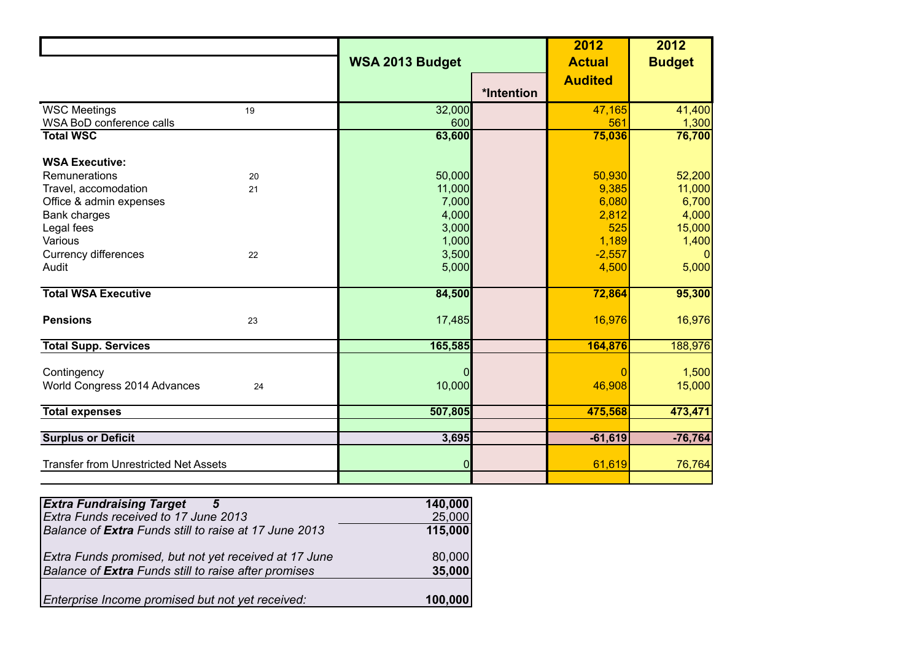|                                                   | WSA 2013 Budget    |            | 2012               | 2012            |
|---------------------------------------------------|--------------------|------------|--------------------|-----------------|
|                                                   |                    |            | <b>Actual</b>      | <b>Budget</b>   |
|                                                   |                    |            | <b>Audited</b>     |                 |
|                                                   |                    | *Intention |                    |                 |
| <b>WSC Meetings</b><br>19                         | 32,000             |            | 47,165             | 41,400          |
| WSA BoD conference calls                          | 600                |            | 561                | 1,300           |
| <b>Total WSC</b>                                  | 63,600             |            | 75,036             | 76,700          |
| <b>WSA Executive:</b>                             |                    |            |                    |                 |
| Remunerations<br>20                               | 50,000             |            | 50,930             | 52,200          |
| Travel, accomodation<br>21                        | 11,000             |            | 9,385              | 11,000          |
| Office & admin expenses                           | 7,000              |            | 6,080              | 6,700           |
| Bank charges                                      | 4,000              |            | 2,812              | 4,000           |
| Legal fees                                        | 3,000              |            | 525                | 15,000          |
| Various                                           | 1,000              |            | 1,189              | 1,400           |
| Currency differences<br>22                        | 3,500              |            | $-2,557$           | $\Omega$        |
| Audit                                             | 5,000              |            | 4,500              | 5,000           |
| <b>Total WSA Executive</b>                        | 84,500             |            | 72,864             | 95,300          |
| <b>Pensions</b><br>23                             | 17,485             |            | 16,976             | 16,976          |
| <b>Total Supp. Services</b>                       | 165,585            |            | 164,876            | 188,976         |
| Contingency<br>World Congress 2014 Advances<br>24 | $\Omega$<br>10,000 |            | $\Omega$<br>46,908 | 1,500<br>15,000 |
| <b>Total expenses</b>                             | 507,805            |            | 475,568            | 473,471         |
|                                                   |                    |            |                    |                 |
| <b>Surplus or Deficit</b>                         | 3,695              |            | $-61,619$          | $-76,764$       |
| <b>Transfer from Unrestricted Net Assets</b>      | $\Omega$           |            | 61,619             | 76,764          |
|                                                   |                    |            |                    |                 |

| <b>Extra Fundraising Target</b><br>5                  | 140,000 |
|-------------------------------------------------------|---------|
| Extra Funds received to 17 June 2013                  | 25,000  |
| Balance of Extra Funds still to raise at 17 June 2013 | 115,000 |
| Extra Funds promised, but not yet received at 17 June | 80,000  |
| Balance of Extra Funds still to raise after promises  | 35,000  |
| Enterprise Income promised but not yet received:      | 100,000 |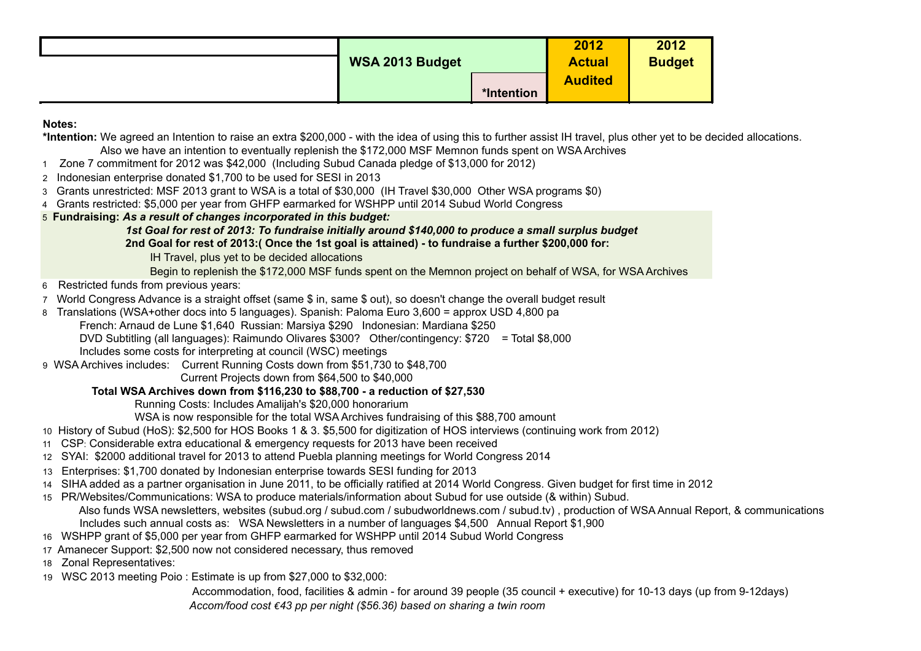| <b>WSA 2013 Budget</b> |            | 2012<br><b>Actual</b> | 2012<br><b>Budget</b> |
|------------------------|------------|-----------------------|-----------------------|
|                        | *Intention | <b>Audited</b>        |                       |

### **Notes:**

**\*Intention:** We agreed an Intention to raise an extra \$200,000 - with the idea of using this to further assist IH travel, plus other yet to be decided allocations. Also we have an intention to eventually replenish the \$172,000 MSF Memnon funds spent on WSA Archives

- 1 Zone 7 commitment for 2012 was \$42,000 (Including Subud Canada pledge of \$13,000 for 2012)
- 2 Indonesian enterprise donated \$1,700 to be used for SESI in 2013
- 3 Grants unrestricted: MSF 2013 grant to WSA is a total of \$30,000 (IH Travel \$30,000 Other WSA programs \$0)
- 4 Grants restricted: \$5,000 per year from GHFP earmarked for WSHPP until 2014 Subud World Congress
- 5 **Fundraising:** *As a result of changes incorporated in this budget:*

*1st Goal for rest of 2013: To fundraise initially around \$140,000 to produce a small surplus budget*

 **2nd Goal for rest of 2013:( Once the 1st goal is attained) - to fundraise a further \$200,000 for:**

IH Travel, plus yet to be decided allocations

Begin to replenish the \$172,000 MSF funds spent on the Memnon project on behalf of WSA, for WSA Archives

- 6 Restricted funds from previous years:
- 7 World Congress Advance is a straight offset (same \$ in, same \$ out), so doesn't change the overall budget result
- 8 Translations (WSA+other docs into 5 languages). Spanish: Paloma Euro 3,600 = approx USD 4,800 pa
	- French: Arnaud de Lune \$1,640 Russian: Marsiya \$290 Indonesian: Mardiana \$250
	- DVD Subtitling (all languages): Raimundo Olivares \$300? Other/contingency: \$720 = Total \$8,000

Includes some costs for interpreting at council (WSC) meetings

9 WSA Archives includes: Current Running Costs down from \$51,730 to \$48,700

Current Projects down from \$64,500 to \$40,000

# **Total WSA Archives down from \$116,230 to \$88,700 - a reduction of \$27,530**

Running Costs: Includes Amalijah's \$20,000 honorarium

WSA is now responsible for the total WSA Archives fundraising of this \$88,700 amount

10 History of Subud (HoS): \$2,500 for HOS Books 1 & 3. \$5,500 for digitization of HOS interviews (continuing work from 2012)

- 11 CSP: Considerable extra educational & emergency requests for 2013 have been received
- 12 SYAI: \$2000 additional travel for 2013 to attend Puebla planning meetings for World Congress 2014
- 13 Enterprises: \$1,700 donated by Indonesian enterprise towards SESI funding for 2013
- 14 SIHA added as a partner organisation in June 2011, to be officially ratified at 2014 World Congress. Given budget for first time in 2012
- 15 PR/Websites/Communications: WSA to produce materials/information about Subud for use outside (& within) Subud. Also funds WSA newsletters, websites (subud.org / subud.com / subudworldnews.com / subud.tv) , production of WSA Annual Report, & communications Includes such annual costs as: WSA Newsletters in a number of languages \$4,500 Annual Report \$1,900
- 16 WSHPP grant of \$5,000 per year from GHFP earmarked for WSHPP until 2014 Subud World Congress
- 17 Amanecer Support: \$2,500 now not considered necessary, thus removed
- 18 Zonal Representatives:
- 19 WSC 2013 meeting Poio : Estimate is up from \$27,000 to \$32,000:

 Accommodation, food, facilities & admin - for around 39 people (35 council + executive) for 10-13 days (up from 9-12days)  *Accom/food cost €43 pp per night (\$56.36) based on sharing a twin room*